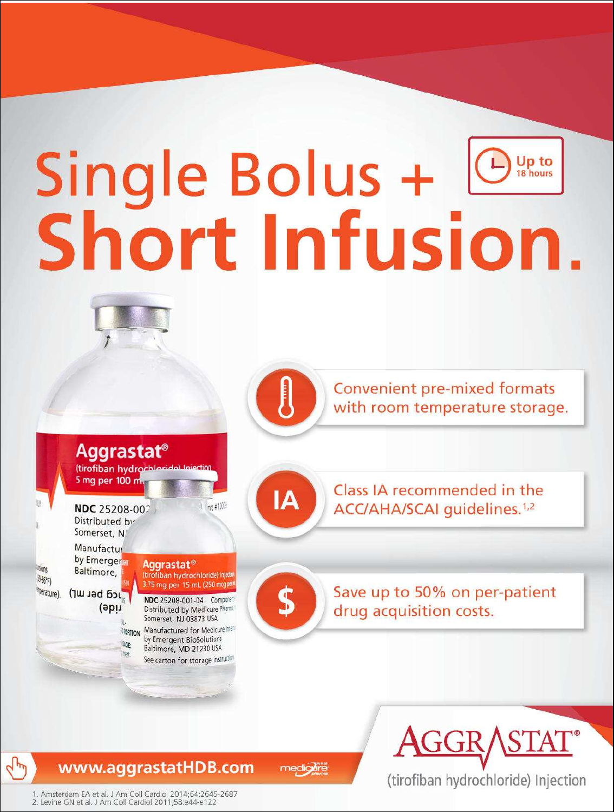# Single Bolus + **Over**<br>Short Infusion.

**Convenient pre-mixed formats** with room temperature storage.

Aggrastat<sup>®</sup> (tirofiban hydroch 5 mg per 100 m

NDC 25208-002 Distributed by Somerset, NJ

ride)

MGE:

light.

**DONS** 

 $M_{67}$ 

 $4\mu$ 

Prature)

Manufactur by Emerger Aggrastat<sup>®</sup> Baltimore, (tirofiban hydrochloride) Injedit 3.75 mg per 15 mL (250 mg per Jcg bet wr)

NDC 25208-001-04 Component Distributed by Medicure Pharma Somerset, NJ 08873 USA Manufactured for Medicure Internal **MORTION** by Emergent BioSolutions Baltimore, MD 21230 USA See carton for storage instructor

nt #1009

ΙA

S

Class IA recommended in the ACC/AHA/SCAI quidelines.<sup>1,2</sup>

Save up to 50% on per-patient drug acquisition costs.



(tirofiban hydrochloride) Injection

www.aggrastatHDB.com

medigure

1. Amsterdam EA et al. J Am Coll Cardiol 2014;64:2645-2687 2. Levine GN et al. J Am Coll Cardiol 2011;58:e44-e122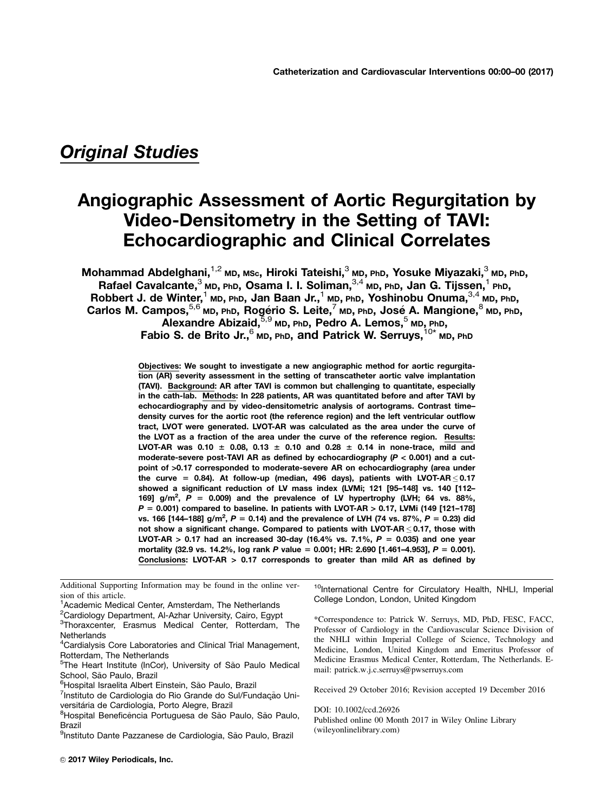# Original Studies

# Angiographic Assessment of Aortic Regurgitation by Video-Densitometry in the Setting of TAVI: Echocardiographic and Clinical Correlates

<code>Mohammad</code> Abdelghani, $^{1,2}$  мр, мѕ $\rm c$ , Hiroki Tateishi, $^3$  мр, Pһ<code>D, Yosuke Miyazaki, $^3$  мр, PһD,</code> Rafael Cavalcante,  $3$  MD, PhD, Osama I. I. Soliman,  $3,4$  MD, PhD, Jan G. Tijssen,  $1$  PhD, Robbert J. de Winter,<sup>1</sup> MD, PhD, Jan Baan Jr.,<sup>1</sup> MD, PhD, Yoshinobu Onuma,<sup>3,4</sup> MD, PhD,  $\mathsf{Carlos} \, \mathsf{M.} \, \mathsf{Campos},$   $\stackrel{5,6}{\sim}$ мр,  $\mathsf{rho}, \, \mathsf{Reg}$ ério S. Leite, $\stackrel{7}{\sim}$ мр,  $\mathsf{rho}, \, \mathsf{Jose} \, \mathsf{A.} \, \mathsf{Mangione}, \stackrel{8}{\sim}$ мр,  $\mathsf{rho}, \, \mathsf{ho}$ Alexandre Abizaid, $5,9$  MD, PhD, Pedro A. Lemos, $5$  MD, PhD, Fabio S. de Brito Jr.,  $6$  MD, PhD, and Patrick W. Serruys,  $^{10*}$  MD, PhD

> Objectives: We sought to investigate a new angiographic method for aortic regurgitation (AR) severity assessment in the setting of transcatheter aortic valve implantation (TAVI). Background: AR after TAVI is common but challenging to quantitate, especially in the cath-lab. Methods: In 228 patients, AR was quantitated before and after TAVI by echocardiography and by video-densitometric analysis of aortograms. Contrast time– density curves for the aortic root (the reference region) and the left ventricular outflow tract, LVOT were generated. LVOT-AR was calculated as the area under the curve of the LVOT as a fraction of the area under the curve of the reference region. Results: LVOT-AR was 0.10  $\pm$  0.08, 0.13  $\pm$  0.10 and 0.28  $\pm$  0.14 in none-trace, mild and moderate-severe post-TAVI AR as defined by echocardiography ( $P < 0.001$ ) and a cutpoint of >0.17 corresponded to moderate-severe AR on echocardiography (area under the curve = 0.84). At follow-up (median, 496 days), patients with LVOT-AR  $\leq$  0.17 showed a significant reduction of LV mass index (LVMi; 121 [95–148] vs. 140 [112– 169]  $g/m^2$ ,  $P = 0.009$ ) and the prevalence of LV hypertrophy (LVH; 64 vs. 88%,  $P = 0.001$ ) compared to baseline. In patients with LVOT-AR > 0.17, LVMi (149 [121-178] vs. 166 [144–188] g/m<sup>2</sup>, P = 0.14) and the prevalence of LVH (74 vs. 87%, P = 0.23) did not show a significant change. Compared to patients with LVOT-AR  $\leq$  0.17, those with LVOT-AR > 0.17 had an increased 30-day (16.4% vs. 7.1%,  $P = 0.035$ ) and one year mortality (32.9 vs. 14.2%, log rank P value = 0.001; HR: 2.690 [1.461–4.953], P = 0.001). Conclusions: LVOT-AR > 0.17 corresponds to greater than mild AR as defined by

Additional Supporting Information may be found in the online version of this article.

<sup>1</sup>Academic Medical Center, Amsterdam, The Netherlands

<sup>2</sup>Cardiology Department, Al-Azhar University, Cairo, Egypt

<sup>3</sup>Thoraxcenter, Erasmus Medical Center, Rotterdam, The **Netherlands** 

<sup>5</sup>The Heart Institute (InCor), University of São Paulo Medical School, São Paulo, Brazil

<sup>6</sup>Hospital Israelita Albert Einstein, São Paulo, Brazil

<sup>7</sup>Instituto de Cardiologia do Rio Grande do Sul/Fundação Universitária de Cardiologia, Porto Alegre, Brazil

<sup>9</sup>Instituto Dante Pazzanese de Cardiologia, São Paulo, Brazil

© 2017 Wiley Periodicals, Inc.

<sup>10</sup>International Centre for Circulatory Health, NHLI, Imperial College London, London, United Kingdom

\*Correspondence to: Patrick W. Serruys, MD, PhD, FESC, FACC, Professor of Cardiology in the Cardiovascular Science Division of the NHLI within Imperial College of Science, Technology and Medicine, London, United Kingdom and Emeritus Professor of Medicine Erasmus Medical Center, Rotterdam, The Netherlands. Email: patrick.w.j.c.serruys@pwserruys.com

Received 29 October 2016; Revision accepted 19 December 2016

DOI: 10.1002/ccd.26926 Published online 00 Month 2017 in Wiley Online Library (wileyonlinelibrary.com)

<sup>&</sup>lt;sup>4</sup>Cardialysis Core Laboratories and Clinical Trial Management, Rotterdam, The Netherlands

<sup>&</sup>lt;sup>8</sup>Hospital Beneficência Portuguesa de São Paulo, São Paulo, Brazil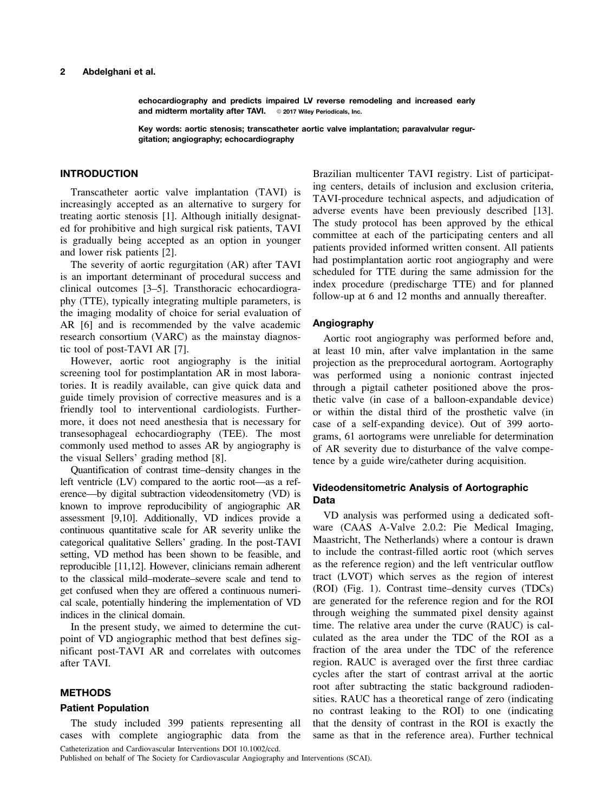#### 2 Abdelghani et al.

echocardiography and predicts impaired LV reverse remodeling and increased early and midterm mortality after TAVI. © 2017 Wiley Periodicals, Inc.

Key words: aortic stenosis; transcatheter aortic valve implantation; paravalvular regurgitation; angiography; echocardiography

# INTRODUCTION

Transcatheter aortic valve implantation (TAVI) is increasingly accepted as an alternative to surgery for treating aortic stenosis [1]. Although initially designated for prohibitive and high surgical risk patients, TAVI is gradually being accepted as an option in younger and lower risk patients [2].

The severity of aortic regurgitation (AR) after TAVI is an important determinant of procedural success and clinical outcomes [3–5]. Transthoracic echocardiography (TTE), typically integrating multiple parameters, is the imaging modality of choice for serial evaluation of AR [6] and is recommended by the valve academic research consortium (VARC) as the mainstay diagnostic tool of post-TAVI AR [7].

However, aortic root angiography is the initial screening tool for postimplantation AR in most laboratories. It is readily available, can give quick data and guide timely provision of corrective measures and is a friendly tool to interventional cardiologists. Furthermore, it does not need anesthesia that is necessary for transesophageal echocardiography (TEE). The most commonly used method to asses AR by angiography is the visual Sellers' grading method [8].

Quantification of contrast time–density changes in the left ventricle (LV) compared to the aortic root—as a reference—by digital subtraction videodensitometry (VD) is known to improve reproducibility of angiographic AR assessment [9,10]. Additionally, VD indices provide a continuous quantitative scale for AR severity unlike the categorical qualitative Sellers' grading. In the post-TAVI setting, VD method has been shown to be feasible, and reproducible [11,12]. However, clinicians remain adherent to the classical mild–moderate–severe scale and tend to get confused when they are offered a continuous numerical scale, potentially hindering the implementation of VD indices in the clinical domain.

In the present study, we aimed to determine the cutpoint of VD angiographic method that best defines significant post-TAVI AR and correlates with outcomes after TAVI.

#### METHODS

#### Patient Population

The study included 399 patients representing all cases with complete angiographic data from the Catheterization and Cardiovascular Interventions DOI 10.1002/ccd.

Brazilian multicenter TAVI registry. List of participating centers, details of inclusion and exclusion criteria, TAVI-procedure technical aspects, and adjudication of adverse events have been previously described [13]. The study protocol has been approved by the ethical committee at each of the participating centers and all patients provided informed written consent. All patients had postimplantation aortic root angiography and were scheduled for TTE during the same admission for the index procedure (predischarge TTE) and for planned follow-up at 6 and 12 months and annually thereafter.

#### Angiography

Aortic root angiography was performed before and, at least 10 min, after valve implantation in the same projection as the preprocedural aortogram. Aortography was performed using a nonionic contrast injected through a pigtail catheter positioned above the prosthetic valve (in case of a balloon-expandable device) or within the distal third of the prosthetic valve (in case of a self-expanding device). Out of 399 aortograms, 61 aortograms were unreliable for determination of AR severity due to disturbance of the valve competence by a guide wire/catheter during acquisition.

# Videodensitometric Analysis of Aortographic Data

VD analysis was performed using a dedicated software (CAAS A-Valve 2.0.2: Pie Medical Imaging, Maastricht, The Netherlands) where a contour is drawn to include the contrast-filled aortic root (which serves as the reference region) and the left ventricular outflow tract (LVOT) which serves as the region of interest (ROI) (Fig. 1). Contrast time–density curves (TDCs) are generated for the reference region and for the ROI through weighing the summated pixel density against time. The relative area under the curve (RAUC) is calculated as the area under the TDC of the ROI as a fraction of the area under the TDC of the reference region. RAUC is averaged over the first three cardiac cycles after the start of contrast arrival at the aortic root after subtracting the static background radiodensities. RAUC has a theoretical range of zero (indicating no contrast leaking to the ROI) to one (indicating that the density of contrast in the ROI is exactly the same as that in the reference area). Further technical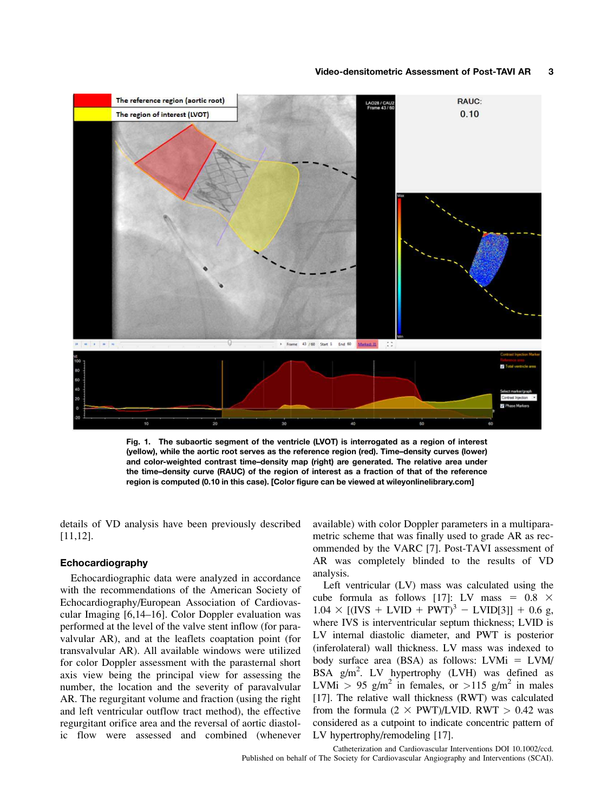#### Video-densitometric Assessment of Post-TAVI AR 3



Fig. 1. The subaortic segment of the ventricle (LVOT) is interrogated as a region of interest (yellow), while the aortic root serves as the reference region (red). Time–density curves (lower) and color-weighted contrast time–density map (right) are generated. The relative area under the time–density curve (RAUC) of the region of interest as a fraction of that of the reference region is computed (0.10 in this case). [Color figure can be viewed at [wileyonlinelibrary.com](http://wileyonlinelibrary.com)]

details of VD analysis have been previously described [11,12].

# Echocardiography

Echocardiographic data were analyzed in accordance with the recommendations of the American Society of Echocardiography/European Association of Cardiovascular Imaging [6,14–16]. Color Doppler evaluation was performed at the level of the valve stent inflow (for paravalvular AR), and at the leaflets coaptation point (for transvalvular AR). All available windows were utilized for color Doppler assessment with the parasternal short axis view being the principal view for assessing the number, the location and the severity of paravalvular AR. The regurgitant volume and fraction (using the right and left ventricular outflow tract method), the effective regurgitant orifice area and the reversal of aortic diastolic flow were assessed and combined (whenever

available) with color Doppler parameters in a multiparametric scheme that was finally used to grade AR as recommended by the VARC [7]. Post-TAVI assessment of AR was completely blinded to the results of VD analysis.

Left ventricular (LV) mass was calculated using the cube formula as follows [17]: LV mass =  $0.8 \times$  $1.04 \times [(IVS + LVID + PWT)^3 - LVID[3]] + 0.6$  g, where IVS is interventricular septum thickness; LVID is LV internal diastolic diameter, and PWT is posterior (inferolateral) wall thickness. LV mass was indexed to body surface area (BSA) as follows:  $LVMi = LVM/$ BSA g/m<sup>2</sup>. LV hypertrophy (LVH) was defined as LVMi > 95 g/m<sup>2</sup> in females, or >115 g/m<sup>2</sup> in males [17]. The relative wall thickness (RWT) was calculated from the formula  $(2 \times PWT)/LVID$ . RWT  $> 0.42$  was considered as a cutpoint to indicate concentric pattern of LV hypertrophy/remodeling [17].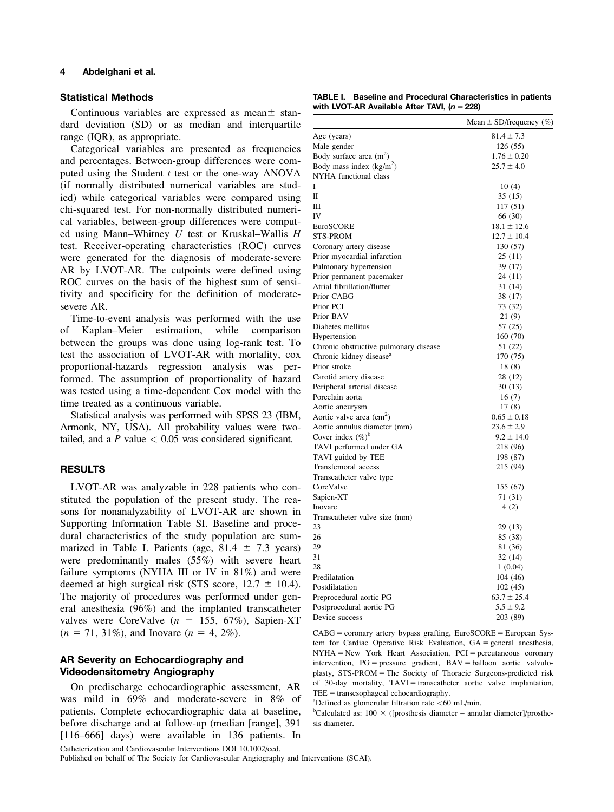#### 4 Abdelghani et al.

### Statistical Methods

Continuous variables are expressed as mean $\pm$  standard deviation (SD) or as median and interquartile range (IQR), as appropriate.

Categorical variables are presented as frequencies and percentages. Between-group differences were computed using the Student  $t$  test or the one-way ANOVA (if normally distributed numerical variables are studied) while categorical variables were compared using chi-squared test. For non-normally distributed numerical variables, between-group differences were computed using Mann–Whitney  $U$  test or Kruskal–Wallis  $H$ test. Receiver-operating characteristics (ROC) curves were generated for the diagnosis of moderate-severe AR by LVOT-AR. The cutpoints were defined using ROC curves on the basis of the highest sum of sensitivity and specificity for the definition of moderatesevere AR.

Time-to-event analysis was performed with the use of Kaplan–Meier estimation, while comparison between the groups was done using log-rank test. To test the association of LVOT-AR with mortality, cox proportional-hazards regression analysis was performed. The assumption of proportionality of hazard was tested using a time-dependent Cox model with the time treated as a continuous variable.

Statistical analysis was performed with SPSS 23 (IBM, Armonk, NY, USA). All probability values were twotailed, and a  $P$  value  $\lt$  0.05 was considered significant.

### RESULTS

LVOT-AR was analyzable in 228 patients who constituted the population of the present study. The reasons for nonanalyzability of LVOT-AR are shown in Supporting Information Table SI. Baseline and procedural characteristics of the study population are summarized in Table I. Patients (age,  $81.4 \pm 7.3$  years) were predominantly males (55%) with severe heart failure symptoms (NYHA III or IV in 81%) and were deemed at high surgical risk (STS score,  $12.7 \pm 10.4$ ). The majority of procedures was performed under general anesthesia (96%) and the implanted transcatheter valves were CoreValve ( $n = 155, 67\%$ ), Sapien-XT  $(n = 71, 31\%)$ , and Inovare  $(n = 4, 2\%)$ .

# AR Severity on Echocardiography and Videodensitometry Angiography

On predischarge echocardiographic assessment, AR was mild in 69% and moderate-severe in 8% of patients. Complete echocardiographic data at baseline, before discharge and at follow-up (median [range], 391 [116–666] days) were available in 136 patients. In Catheterization and Cardiovascular Interventions DOI 10.1002/ccd.

Published on behalf of The Society for Cardiovascular Angiography and Interventions (SCAI).

TABLE I. Baseline and Procedural Characteristics in patients with LVOT-AR Available After TAVI,  $(n = 228)$ 

|                                                          | Mean $\pm$ SD/frequency (%) |
|----------------------------------------------------------|-----------------------------|
|                                                          | $81.4 \pm 7.3$              |
| Age (years)                                              |                             |
| Male gender                                              | 126 (55)                    |
| Body surface area $(m^2)$                                | $1.76 \pm 0.20$             |
| Body mass index $(kg/m2)$<br>NYHA functional class       | $25.7 \pm 4.0$              |
|                                                          |                             |
| $\mathbf{I}$                                             | 10(4)                       |
|                                                          | 35(15)                      |
| Ш<br><b>IV</b>                                           | 117 (51)                    |
| EuroSCORE                                                | 66 (30)<br>$18.1 \pm 12.6$  |
|                                                          |                             |
| STS-PROM                                                 | $12.7 \pm 10.4$             |
| Coronary artery disease                                  | 130 (57)                    |
| Prior myocardial infarction                              | 25(11)                      |
| Pulmonary hypertension                                   | 39 (17)                     |
| Prior permanent pacemaker<br>Atrial fibrillation/flutter | 24 (11)                     |
| Prior CABG                                               | 31 (14)                     |
|                                                          | 38 (17)                     |
| Prior PCI                                                | 73 (32)                     |
| Prior BAV                                                | 21(9)                       |
| Diabetes mellitus                                        | 57 (25)                     |
| Hypertension                                             | 160 (70)                    |
| Chronic obstructive pulmonary disease                    | 51 (22)                     |
| Chronic kidney disease <sup>a</sup>                      | 170 (75)                    |
| Prior stroke                                             | 18(8)                       |
| Carotid artery disease                                   | 28 (12)                     |
| Peripheral arterial disease                              | 30(13)                      |
| Porcelain aorta                                          | 16(7)                       |
| Aortic aneurysm                                          | 17(8)                       |
| Aortic valve area $\text{(cm}^2\text{)}$                 | $0.65 \pm 0.18$             |
| Aortic annulus diameter (mm)                             | $23.6 \pm 2.9$              |
| Cover index $(\%)^b$                                     | $9.2 \pm 14.0$              |
| TAVI performed under GA                                  | 218 (96)                    |
| TAVI guided by TEE                                       | 198 (87)                    |
| Transfemoral access                                      | 215 (94)                    |
| Transcatheter valve type                                 |                             |
| CoreValve                                                | 155 (67)                    |
| Sapien-XT                                                | 71 (31)                     |
| Inovare                                                  | 4(2)                        |
| Transcatheter valve size (mm)                            |                             |
| 23                                                       | 29 (13)                     |
| 26                                                       | 85 (38)                     |
| 29                                                       | 81 (36)                     |
| 31                                                       | 32(14)                      |
| 28                                                       | 1(0.04)                     |
| Predilatation                                            | 104 (46)                    |
| Postdilatation                                           | 102 (45)                    |
| Preprocedural aortic PG                                  | $63.7 \pm 25.4$             |
| Postprocedural aortic PG                                 | $5.5 \pm 9.2$               |
| Device success                                           | 203 (89)                    |

 $CABG =$  coronary artery bypass grafting, EuroSCORE = European System for Cardiac Operative Risk Evaluation,  $GA =$  general anesthesia,  $NYHA = New York Heat Association, PCI = percutaneous economy$ intervention,  $PG = pressure$  gradient,  $BAV = balloon$  aortic valvuloplasty,  $STS-PROM = The Society of Thoracic Surgeons-predicted risk$ of 30-day mortality,  $TAVI = \text{transcatheter}$  aortic valve implantation,  $TEE = transesophageda}$  echocardiography.

<sup>a</sup>Defined as glomerular filtration rate  $\lt 60$  mL/min.

 $b$ Calculated as: 100  $\times$  ([prosthesis diameter – annular diameter]/prosthesis diameter.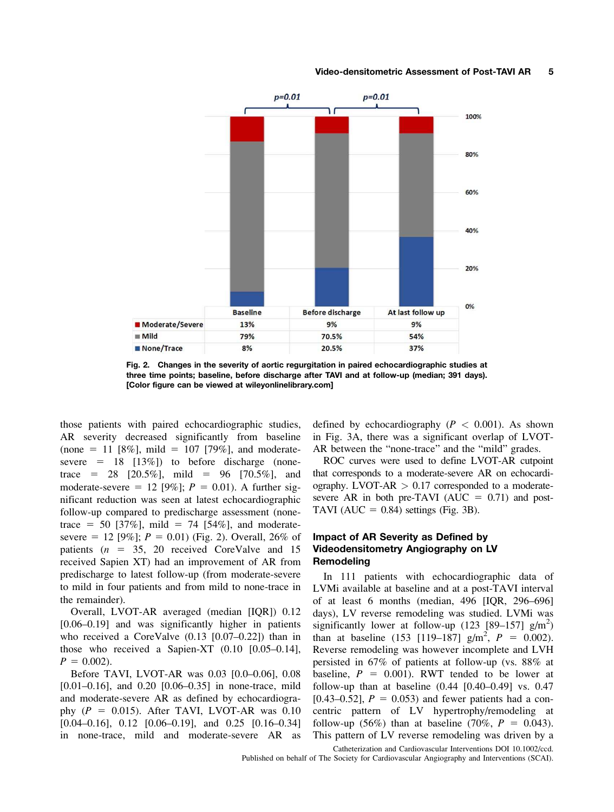#### Video-densitometric Assessment of Post-TAVI AR 5



Fig. 2. Changes in the severity of aortic regurgitation in paired echocardiographic studies at three time points; baseline, before discharge after TAVI and at follow-up (median; 391 days). [Color figure can be viewed at [wileyonlinelibrary.com\]](http://wileyonlinelibrary.com)

those patients with paired echocardiographic studies, AR severity decreased significantly from baseline (none = 11 [8%], mild = 107 [79%], and moderatesevere  $= 18$  [13%]) to before discharge (nonetrace = 28 [20.5%], mild = 96 [70.5%], and moderate-severe = 12 [9%];  $P = 0.01$ ). A further significant reduction was seen at latest echocardiographic follow-up compared to predischarge assessment (nonetrace = 50 [37%], mild = 74 [54%], and moderatesevere = 12 [9%];  $P = 0.01$ ) (Fig. 2). Overall, 26% of patients ( $n = 35$ , 20 received CoreValve and 15 received Sapien XT) had an improvement of AR from predischarge to latest follow-up (from moderate-severe to mild in four patients and from mild to none-trace in the remainder).

Overall, LVOT-AR averaged (median [IQR]) 0.12 [0.06–0.19] and was significantly higher in patients who received a CoreValve (0.13 [0.07–0.22]) than in those who received a Sapien-XT (0.10 [0.05–0.14],  $P = 0.002$ ).

Before TAVI, LVOT-AR was 0.03 [0.0–0.06], 0.08 [0.01–0.16], and 0.20 [0.06–0.35] in none-trace, mild and moderate-severe AR as defined by echocardiography  $(P = 0.015)$ . After TAVI, LVOT-AR was 0.10 [0.04–0.16], 0.12 [0.06–0.19], and 0.25 [0.16–0.34] in none-trace, mild and moderate-severe AR as

defined by echocardiography ( $P < 0.001$ ). As shown in Fig. 3A, there was a significant overlap of LVOT-AR between the "none-trace" and the "mild" grades.

ROC curves were used to define LVOT-AR cutpoint that corresponds to a moderate-severe AR on echocardiography. LVOT-AR  $> 0.17$  corresponded to a moderatesevere AR in both pre-TAVI ( $AUC = 0.71$ ) and post-TAVI (AUC =  $0.84$ ) settings (Fig. 3B).

# Impact of AR Severity as Defined by Videodensitometry Angiography on LV Remodeling

In 111 patients with echocardiographic data of LVMi available at baseline and at a post-TAVI interval of at least 6 months (median, 496 [IQR, 296–696] days), LV reverse remodeling was studied. LVMi was significantly lower at follow-up (123 [89-157]  $g/m<sup>2</sup>$ ) than at baseline (153 [119–187]  $g/m^2$ ,  $P = 0.002$ ). Reverse remodeling was however incomplete and LVH persisted in 67% of patients at follow-up (vs. 88% at baseline,  $P = 0.001$ ). RWT tended to be lower at follow-up than at baseline  $(0.44 \, [0.40 - 0.49] \,$  vs. 0.47 [0.43–0.52],  $P = 0.053$ ) and fewer patients had a concentric pattern of LV hypertrophy/remodeling at follow-up (56%) than at baseline (70%,  $P = 0.043$ ). This pattern of LV reverse remodeling was driven by a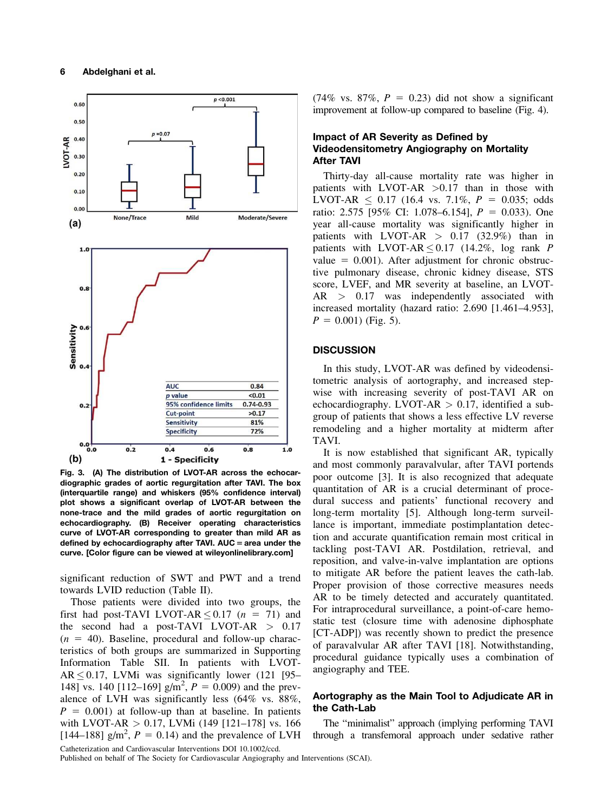

Fig. 3. (A) The distribution of LVOT-AR across the echocardiographic grades of aortic regurgitation after TAVI. The box (interquartile range) and whiskers (95% confidence interval) plot shows a significant overlap of LVOT-AR between the none-trace and the mild grades of aortic regurgitation on echocardiography. (B) Receiver operating characteristics curve of LVOT-AR corresponding to greater than mild AR as defined by echocardiography after TAVI.  $AUC = area$  under the curve. [Color figure can be viewed at [wileyonlinelibrary.com\]](http://wileyonlinelibrary.com)

significant reduction of SWT and PWT and a trend towards LVID reduction (Table II).

Those patients were divided into two groups, the first had post-TAVI LVOT-AR  $\leq$  0.17 (n = 71) and the second had a post-TAVI LVOT-AR > 0.17  $(n = 40)$ . Baseline, procedural and follow-up characteristics of both groups are summarized in Supporting Information Table SII. In patients with LVOT- $AR \leq 0.17$ , LVMi was significantly lower (121 [95– 148] vs. 140 [112–169]  $g/m^2$ ,  $P = 0.009$ ) and the prevalence of LVH was significantly less (64% vs. 88%,  $P = 0.001$ ) at follow-up than at baseline. In patients with LVOT-AR > 0.17, LVMi (149 [121–178] vs. 166 [144–188]  $g/m^2$ ,  $P = 0.14$ ) and the prevalence of LVH Catheterization and Cardiovascular Interventions DOI 10.1002/ccd.

 $(74\% \text{ vs. } 87\%, P = 0.23)$  did not show a significant improvement at follow-up compared to baseline (Fig. 4).

# Impact of AR Severity as Defined by Videodensitometry Angiography on Mortality After TAVI

Thirty-day all-cause mortality rate was higher in patients with LVOT-AR  $>0.17$  than in those with LVOT-AR  $\leq$  0.17 (16.4 vs. 7.1%,  $P = 0.035$ ; odds ratio: 2.575 [95% CI: 1.078–6.154],  $P = 0.033$ ). One year all-cause mortality was significantly higher in patients with LVOT-AR  $> 0.17$  (32.9%) than in patients with LVOT-AR  $\leq$  0.17 (14.2%, log rank P value  $= 0.001$ ). After adjustment for chronic obstructive pulmonary disease, chronic kidney disease, STS score, LVEF, and MR severity at baseline, an LVOT-AR > 0.17 was independently associated with increased mortality (hazard ratio: 2.690 [1.461–4.953],  $P = 0.001$ ) (Fig. 5).

#### **DISCUSSION**

In this study, LVOT-AR was defined by videodensitometric analysis of aortography, and increased stepwise with increasing severity of post-TAVI AR on echocardiography. LVOT-AR  $> 0.17$ , identified a subgroup of patients that shows a less effective LV reverse remodeling and a higher mortality at midterm after TAVI.

It is now established that significant AR, typically and most commonly paravalvular, after TAVI portends poor outcome [3]. It is also recognized that adequate quantitation of AR is a crucial determinant of procedural success and patients' functional recovery and long-term mortality [5]. Although long-term surveillance is important, immediate postimplantation detection and accurate quantification remain most critical in tackling post-TAVI AR. Postdilation, retrieval, and reposition, and valve-in-valve implantation are options to mitigate AR before the patient leaves the cath-lab. Proper provision of those corrective measures needs AR to be timely detected and accurately quantitated. For intraprocedural surveillance, a point-of-care hemostatic test (closure time with adenosine diphosphate [CT-ADP]) was recently shown to predict the presence of paravalvular AR after TAVI [18]. Notwithstanding, procedural guidance typically uses a combination of angiography and TEE.

# Aortography as the Main Tool to Adjudicate AR in the Cath-Lab

The "minimalist" approach (implying performing TAVI through a transfemoral approach under sedative rather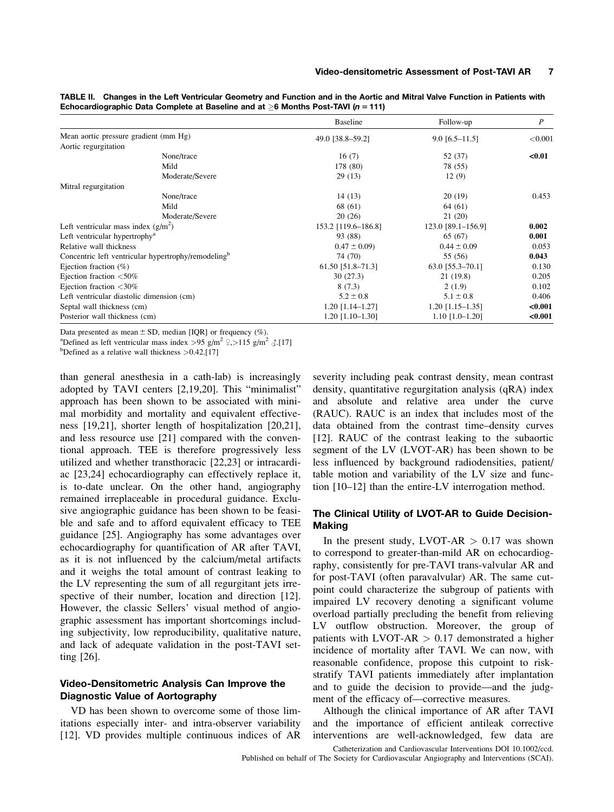| TABLE II. Changes in the Left Ventricular Geometry and Function and in the Aortic and Mitral Valve Function in Patients with |
|------------------------------------------------------------------------------------------------------------------------------|
| Echocardiographic Data Complete at Baseline and at $>6$ Months Post-TAVI (n = 111)                                           |

|                                                                 | Baseline            | Follow-up          | $\boldsymbol{P}$ |
|-----------------------------------------------------------------|---------------------|--------------------|------------------|
| Mean aortic pressure gradient (mm Hg)                           | 49.0 [38.8-59.2]    | $9.0$ [6.5-11.5]   | ${<}0.001$       |
| Aortic regurgitation                                            |                     |                    |                  |
| None/trace                                                      | 16(7)               | 52 (37)            | $0.01$           |
| Mild                                                            | 178 (80)            | 78 (55)            |                  |
| Moderate/Severe                                                 | 29(13)              | 12(9)              |                  |
| Mitral regurgitation                                            |                     |                    |                  |
| None/trace                                                      | 14(13)              | 20(19)             | 0.453            |
| Mild                                                            | 68 (61)             | 64 (61)            |                  |
| Moderate/Severe                                                 | 20(26)              | 21(20)             |                  |
| Left ventricular mass index $(g/m^2)$                           | 153.2 [119.6–186.8] | 123.0 [89.1–156.9] | 0.002            |
| Left ventricular hypertrophy <sup>a</sup>                       | 93 (88)             | 65 (67)            | 0.001            |
| Relative wall thickness                                         | $0.47 \pm 0.09$     | $0.44 \pm 0.09$    | 0.053            |
| Concentric left ventricular hypertrophy/remodeling <sup>b</sup> | 74 (70)             | 55 (56)            | 0.043            |
| Ejection fraction $(\%)$                                        | 61.50 [51.8-71.3]   | 63.0 [55.3-70.1]   | 0.130            |
| Ejection fraction $\langle 50\%$                                | 30(27.3)            | 21(19.8)           | 0.205            |
| Ejection fraction $\langle 30\%$                                | 8(7.3)              | 2(1.9)             | 0.102            |
| Left ventricular diastolic dimension (cm)                       | $5.2 \pm 0.8$       | $5.1 \pm 0.8$      | 0.406            |
| Septal wall thickness (cm)                                      | $1.20$ [1.14-1.27]  | $1.20$ [1.15-1.35] | < 0.001          |
| Posterior wall thickness (cm)                                   | $1.20$ [1.10-1.30]  | $1.10$ [1.0-1.20]  | < 0.001          |

Data presented as mean  $\pm$  SD, median [IQR] or frequency (%).

<sup>a</sup>Defined as left ventricular mass index > 95 g/m<sup>2</sup>  $\frac{9}{7}$ , > 115 g/m<sup>2</sup>  $\frac{3}{17}$ .

<sup>b</sup>Defined as a relative wall thickness  $>0.42$ .[17]

than general anesthesia in a cath-lab) is increasingly adopted by TAVI centers [2,19,20]. This "minimalist" approach has been shown to be associated with minimal morbidity and mortality and equivalent effectiveness [19,21], shorter length of hospitalization [20,21], and less resource use [21] compared with the conventional approach. TEE is therefore progressively less utilized and whether transthoracic [22,23] or intracardiac [23,24] echocardiography can effectively replace it, is to-date unclear. On the other hand, angiography remained irreplaceable in procedural guidance. Exclusive angiographic guidance has been shown to be feasible and safe and to afford equivalent efficacy to TEE guidance [25]. Angiography has some advantages over echocardiography for quantification of AR after TAVI, as it is not influenced by the calcium/metal artifacts and it weighs the total amount of contrast leaking to the LV representing the sum of all regurgitant jets irrespective of their number, location and direction [12]. However, the classic Sellers' visual method of angiographic assessment has important shortcomings including subjectivity, low reproducibility, qualitative nature, and lack of adequate validation in the post-TAVI setting [26].

# Video-Densitometric Analysis Can Improve the Diagnostic Value of Aortography

VD has been shown to overcome some of those limitations especially inter- and intra-observer variability [12]. VD provides multiple continuous indices of AR severity including peak contrast density, mean contrast density, quantitative regurgitation analysis (qRA) index and absolute and relative area under the curve (RAUC). RAUC is an index that includes most of the data obtained from the contrast time–density curves [12]. RAUC of the contrast leaking to the subaortic segment of the LV (LVOT-AR) has been shown to be less influenced by background radiodensities, patient/ table motion and variability of the LV size and function [10–12] than the entire-LV interrogation method.

# The Clinical Utility of LVOT-AR to Guide Decision-**Making**

In the present study,  $LVOT-AR > 0.17$  was shown to correspond to greater-than-mild AR on echocardiography, consistently for pre-TAVI trans-valvular AR and for post-TAVI (often paravalvular) AR. The same cutpoint could characterize the subgroup of patients with impaired LV recovery denoting a significant volume overload partially precluding the benefit from relieving LV outflow obstruction. Moreover, the group of patients with LVOT-AR  $> 0.17$  demonstrated a higher incidence of mortality after TAVI. We can now, with reasonable confidence, propose this cutpoint to riskstratify TAVI patients immediately after implantation and to guide the decision to provide—and the judgment of the efficacy of—corrective measures.

Although the clinical importance of AR after TAVI and the importance of efficient antileak corrective interventions are well-acknowledged, few data are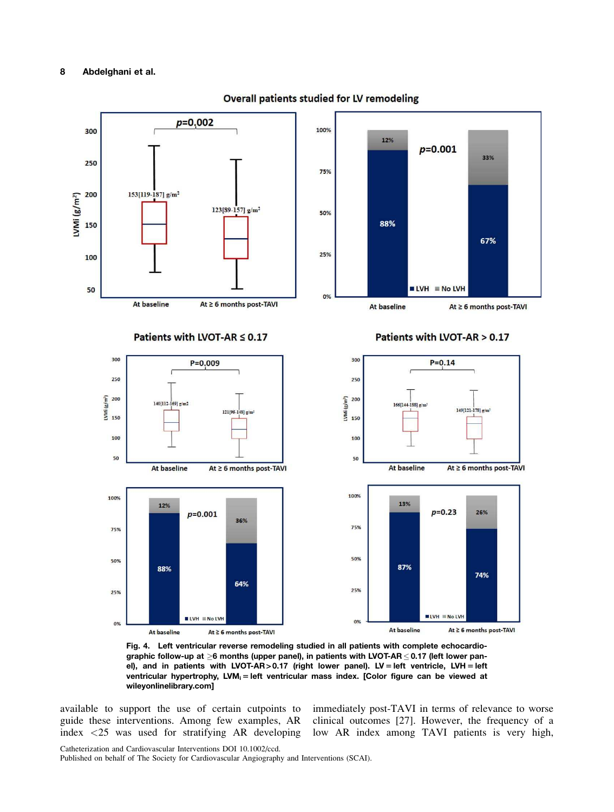

Overall patients studied for LV remodeling

Fig. 4. Left ventricular reverse remodeling studied in all patients with complete echocardiographic follow-up at  $\geq$ 6 months (upper panel), in patients with LVOT-AR  $\leq$  0.17 (left lower panel), and in patients with LVOT-AR > 0.17 (right lower panel). LV = left ventricle, LVH = left ventricular hypertrophy, LVM<sub>i</sub> = left ventricular mass index. [Color figure can be viewed at [wileyonlinelibrary.com\]](http://wileyonlinelibrary.com)

available to support the use of certain cutpoints to guide these interventions. Among few examples, AR index <25 was used for stratifying AR developing

immediately post-TAVI in terms of relevance to worse clinical outcomes [27]. However, the frequency of a low AR index among TAVI patients is very high,

Catheterization and Cardiovascular Interventions DOI 10.1002/ccd.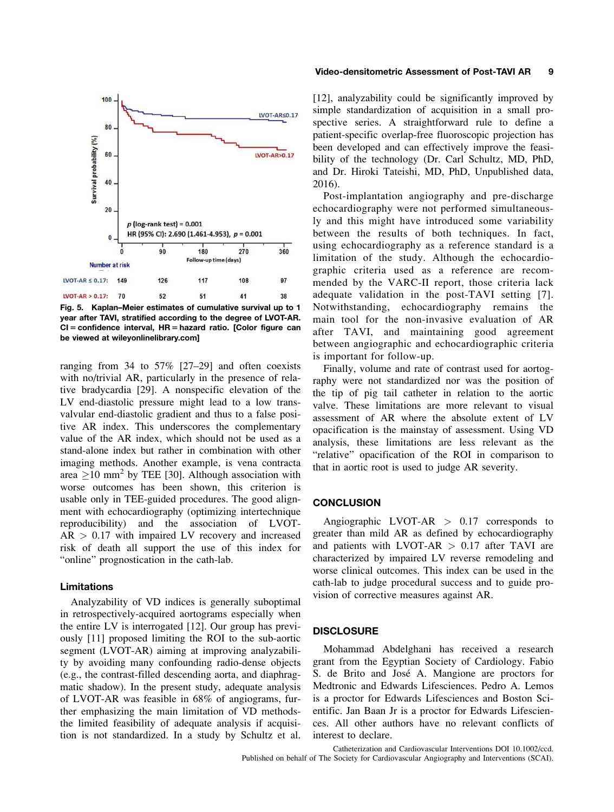

Fig. 5. Kaplan–Meier estimates of cumulative survival up to 1 year after TAVI, stratified according to the degree of LVOT-AR.  $CI =$  confidence interval,  $HR =$  hazard ratio. [Color figure can be viewed at [wileyonlinelibrary.com](http://wileyonlinelibrary.com)]

ranging from 34 to 57% [27–29] and often coexists with no/trivial AR, particularly in the presence of relative bradycardia [29]. A nonspecific elevation of the LV end-diastolic pressure might lead to a low transvalvular end-diastolic gradient and thus to a false positive AR index. This underscores the complementary value of the AR index, which should not be used as a stand-alone index but rather in combination with other imaging methods. Another example, is vena contracta area  $\geq$ 10 mm<sup>2</sup> by TEE [30]. Although association with worse outcomes has been shown, this criterion is usable only in TEE-guided procedures. The good alignment with echocardiography (optimizing intertechnique reproducibility) and the association of LVOT- $AR > 0.17$  with impaired LV recovery and increased risk of death all support the use of this index for "online" prognostication in the cath-lab.

#### Limitations

Analyzability of VD indices is generally suboptimal in retrospectively-acquired aortograms especially when the entire LV is interrogated [12]. Our group has previously [11] proposed limiting the ROI to the sub-aortic segment (LVOT-AR) aiming at improving analyzability by avoiding many confounding radio-dense objects (e.g., the contrast-filled descending aorta, and diaphragmatic shadow). In the present study, adequate analysis of LVOT-AR was feasible in 68% of angiograms, further emphasizing the main limitation of VD methodsthe limited feasibility of adequate analysis if acquisition is not standardized. In a study by Schultz et al.

#### Video-densitometric Assessment of Post-TAVI AR 9

[12], analyzability could be significantly improved by simple standardization of acquisition in a small prospective series. A straightforward rule to define a patient-specific overlap-free fluoroscopic projection has been developed and can effectively improve the feasibility of the technology (Dr. Carl Schultz, MD, PhD, and Dr. Hiroki Tateishi, MD, PhD, Unpublished data, 2016).

Post-implantation angiography and pre-discharge echocardiography were not performed simultaneously and this might have introduced some variability between the results of both techniques. In fact, using echocardiography as a reference standard is a limitation of the study. Although the echocardiographic criteria used as a reference are recommended by the VARC-II report, those criteria lack adequate validation in the post-TAVI setting [7]. Notwithstanding, echocardiography remains the main tool for the non-invasive evaluation of AR after TAVI, and maintaining good agreement between angiographic and echocardiographic criteria is important for follow-up.

Finally, volume and rate of contrast used for aortography were not standardized nor was the position of the tip of pig tail catheter in relation to the aortic valve. These limitations are more relevant to visual assessment of AR where the absolute extent of LV opacification is the mainstay of assessment. Using VD analysis, these limitations are less relevant as the "relative" opacification of the ROI in comparison to that in aortic root is used to judge AR severity.

#### **CONCLUSION**

Angiographic LVOT-AR > 0.17 corresponds to greater than mild AR as defined by echocardiography and patients with LVOT-AR  $> 0.17$  after TAVI are characterized by impaired LV reverse remodeling and worse clinical outcomes. This index can be used in the cath-lab to judge procedural success and to guide provision of corrective measures against AR.

#### **DISCLOSURE**

Mohammad Abdelghani has received a research grant from the Egyptian Society of Cardiology. Fabio S. de Brito and José A. Mangione are proctors for Medtronic and Edwards Lifesciences. Pedro A. Lemos is a proctor for Edwards Lifesciences and Boston Scientific. Jan Baan Jr is a proctor for Edwards Lifesciences. All other authors have no relevant conflicts of interest to declare.